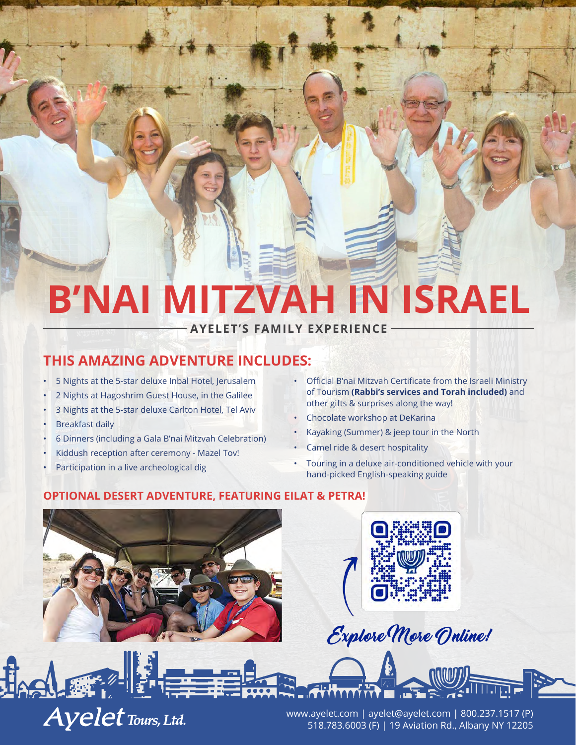# **B'NAI MITZVAH IN ISRAEL**

**AYELET'S FAMILY EXPERIENCE**

## **THIS AMAZING ADVENTURE INCLUDES:**

- 5 Nights at the 5-star deluxe Inbal Hotel, Jerusalem
- 2 Nights at Hagoshrim Guest House, in the Galilee
- 3 Nights at the 5-star deluxe Carlton Hotel, Tel Aviv
- **Breakfast daily**
- 6 Dinners (including a Gala B'nai Mitzvah Celebration)
- Kiddush reception after ceremony Mazel Tov!
- Participation in a live archeological dig

**Ayelet Tours, Ltd.** 

- Official B'nai Mitzvah Certificate from the Israeli Ministry of Tourism **(Rabbi's services and Torah included)** and other gifts & surprises along the way!
- Chocolate workshop at DeKarina
- Kayaking (Summer) & jeep tour in the North
- Camel ride & desert hospitality
- Touring in a deluxe air-conditioned vehicle with your hand-picked English-speaking guide

#### **OPTIONAL DESERT ADVENTURE, FEATURING EILAT & PETRA!**





Explore More Online!

www.ayelet.com | ayelet@ayelet.com | 800.237.1517 (P) 518.783.6003 (F) | 19 Aviation Rd., Albany NY 12205